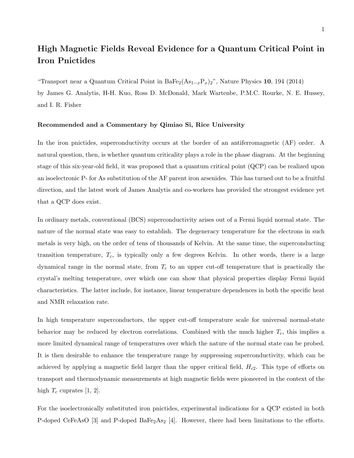## High Magnetic Fields Reveal Evidence for a Quantum Critical Point in Iron Pnictides

"Transport near a Quantum Critical Point in  $BaFe_2(As_{1-x}P_x)_2$ ", Nature Physics 10, 194 (2014) by James G. Analytis, H-H. Kuo, Ross D. McDonald, Mark Wartenbe, P.M.C. Rourke, N. E. Hussey, and I. R. Fisher

## Recommended and a Commentary by Qimiao Si, Rice University

In the iron pnictides, superconductivity occurs at the border of an antiferromagnetic (AF) order. A natural question, then, is whether quantum criticality plays a role in the phase diagram. At the beginning stage of this six-year-old field, it was proposed that a quantum critical point (QCP) can be realized upon an isoelectronic P- for As substitution of the AF parent iron arsenides. This has turned out to be a fruitful direction, and the latest work of James Analytis and co-workers has provided the strongest evidence yet that a QCP does exist.

In ordinary metals, conventional (BCS) superconductivity arises out of a Fermi liquid normal state. The nature of the normal state was easy to establish. The degeneracy temperature for the electrons in such metals is very high, on the order of tens of thousands of Kelvin. At the same time, the superconducting transition temperature,  $T_c$ , is typically only a few degrees Kelvin. In other words, there is a large dynamical range in the normal state, from  $T_c$  to an upper cut-off temperature that is practically the crystal's melting temperature, over which one can show that physical properties display Fermi liquid characteristics. The latter include, for instance, linear temperature dependences in both the specific heat and NMR relaxation rate.

In high temperature superconductors, the upper cut-off temperature scale for universal normal-state behavior may be reduced by electron correlations. Combined with the much higher  $T_c$ , this implies a more limited dynamical range of temperatures over which the nature of the normal state can be probed. It is then desirable to enhance the temperature range by suppressing superconductivity, which can be achieved by applying a magnetic field larger than the upper critical field,  $H_{c2}$ . This type of efforts on transport and thermodynamic measurements at high magnetic fields were pioneered in the context of the high  $T_c$  cuprates [1, 2].

For the isoelectronically substituted iron pnictides, experimental indications for a QCP existed in both P-doped CeFeAsO [3] and P-doped BaFe<sub>2</sub>As<sub>2</sub> [4]. However, there had been limitations to the efforts.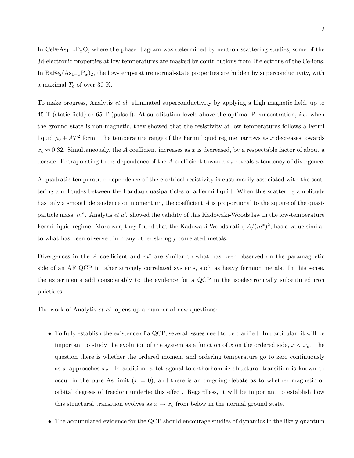In CeFeAs<sub>1−x</sub>P<sub>x</sub>O, where the phase diagram was determined by neutron scattering studies, some of the 3d-electronic properties at low temperatures are masked by contributions from 4f electrons of the Ce-ions. In BaFe<sub>2</sub>(As<sub>1−x</sub>P<sub>x</sub>)<sub>2</sub>, the low-temperature normal-state properties are hidden by superconductivity, with a maximal  $T_c$  of over 30 K.

To make progress, Analytis et al. eliminated superconductivity by applying a high magnetic field, up to 45 T (static field) or 65 T (pulsed). At substitution levels above the optimal P-concentration, i.e. when the ground state is non-magnetic, they showed that the resistivity at low temperatures follows a Fermi liquid  $\rho_0 + AT^2$  form. The temperature range of the Fermi liquid regime narrows as x decreases towards  $x_c \approx 0.32$ . Simultaneously, the A coefficient increases as x is decreased, by a respectable factor of about a decade. Extrapolating the x-dependence of the A coefficient towards  $x_c$  reveals a tendency of divergence.

A quadratic temperature dependence of the electrical resistivity is customarily associated with the scattering amplitudes between the Landau quasiparticles of a Fermi liquid. When this scattering amplitude has only a smooth dependence on momentum, the coefficient A is proportional to the square of the quasiparticle mass,  $m^*$ . Analytis *et al.* showed the validity of this Kadowaki-Woods law in the low-temperature Fermi liquid regime. Moreover, they found that the Kadowaki-Woods ratio,  $A/(m^*)^2$ , has a value similar to what has been observed in many other strongly correlated metals.

Divergences in the A coefficient and  $m^*$  are similar to what has been observed on the paramagnetic side of an AF QCP in other strongly correlated systems, such as heavy fermion metals. In this sense, the experiments add considerably to the evidence for a QCP in the isoelectronically substituted iron pnictides.

The work of Analytis *et al.* opens up a number of new questions:

- To fully establish the existence of a QCP, several issues need to be clarified. In particular, it will be important to study the evolution of the system as a function of x on the ordered side,  $x < x_c$ . The question there is whether the ordered moment and ordering temperature go to zero continuously as x approaches  $x_c$ . In addition, a tetragonal-to-orthorhombic structural transition is known to occur in the pure As limit  $(x = 0)$ , and there is an on-going debate as to whether magnetic or orbital degrees of freedom underlie this effect. Regardless, it will be important to establish how this structural transition evolves as  $x \to x_c$  from below in the normal ground state.
- The accumulated evidence for the QCP should encourage studies of dynamics in the likely quantum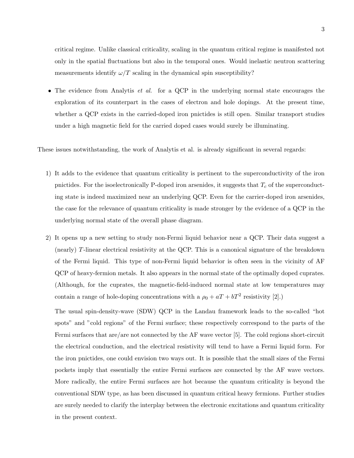critical regime. Unlike classical criticality, scaling in the quantum critical regime is manifested not only in the spatial fluctuations but also in the temporal ones. Would inelastic neutron scattering measurements identify  $\omega/T$  scaling in the dynamical spin susceptibility?

• The evidence from Analytis *et al.* for a QCP in the underlying normal state encourages the exploration of its counterpart in the cases of electron and hole dopings. At the present time, whether a QCP exists in the carried-doped iron pnictides is still open. Similar transport studies under a high magnetic field for the carried doped cases would surely be illuminating.

These issues notwithstanding, the work of Analytis et al. is already significant in several regards:

- 1) It adds to the evidence that quantum criticality is pertinent to the superconductivity of the iron pnictides. For the isoelectronically P-doped iron arsenides, it suggests that  $T_c$  of the superconducting state is indeed maximized near an underlying QCP. Even for the carrier-doped iron arsenides, the case for the relevance of quantum criticality is made stronger by the evidence of a QCP in the underlying normal state of the overall phase diagram.
- 2) It opens up a new setting to study non-Fermi liquid behavior near a QCP. Their data suggest a (nearly) T-linear electrical resistivity at the QCP. This is a canonical signature of the breakdown of the Fermi liquid. This type of non-Fermi liquid behavior is often seen in the vicinity of AF QCP of heavy-fermion metals. It also appears in the normal state of the optimally doped cuprates. (Although, for the cuprates, the magnetic-field-induced normal state at low temperatures may contain a range of hole-doping concentrations with a  $\rho_0 + aT + bT^2$  resistivity [2].)

The usual spin-density-wave (SDW) QCP in the Landau framework leads to the so-called "hot spots" and "cold regions" of the Fermi surface; these respectively correspond to the parts of the Fermi surfaces that are/are not connected by the AF wave vector [5]. The cold regions short-circuit the electrical conduction, and the electrical resistivity will tend to have a Fermi liquid form. For the iron pnictides, one could envision two ways out. It is possible that the small sizes of the Fermi pockets imply that essentially the entire Fermi surfaces are connected by the AF wave vectors. More radically, the entire Fermi surfaces are hot because the quantum criticality is beyond the conventional SDW type, as has been discussed in quantum critical heavy fermions. Further studies are surely needed to clarify the interplay between the electronic excitations and quantum criticality in the present context.